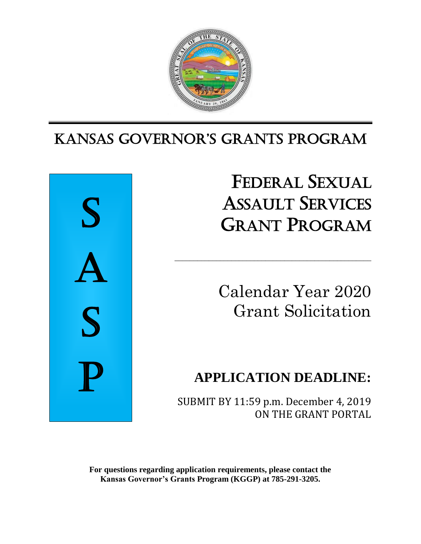

## Ι KANSAS GoverNor'S GrANtS ProGrAm



FEDERAL SEXUAL ASSAULT SERVICES GRANT PROGRAM

Calendar Year 2020 Grant Solicitation

# **APPLICATION DEADLINE:**

SUBMIT BY 11:59 p.m. December 4, 2019 ON THE GRANT PORTAL

\_\_\_\_\_\_\_\_\_\_\_\_\_\_\_\_\_\_\_\_\_\_\_\_\_\_\_\_\_\_\_\_\_\_\_\_\_\_\_\_\_\_\_\_\_\_\_\_\_\_\_\_

**For questions regarding application requirements, please contact the Kansas Governor's Grants Program (KGGP) at 785-291-3205.**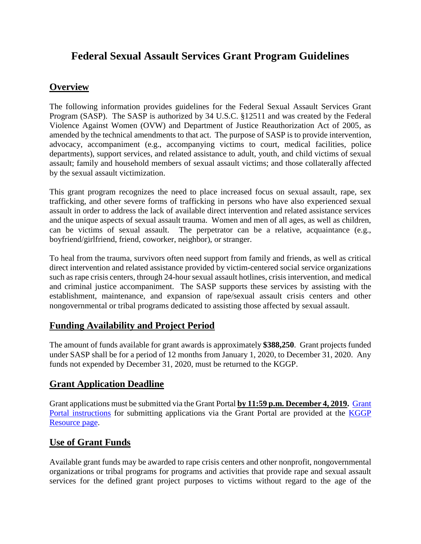## **Federal Sexual Assault Services Grant Program Guidelines**

## **Overview**

The following information provides guidelines for the Federal Sexual Assault Services Grant Program (SASP). The SASP is authorized by 34 U.S.C. §12511 and was created by the Federal Violence Against Women (OVW) and Department of Justice Reauthorization Act of 2005, as amended by the technical amendments to that act. The purpose of SASP is to provide intervention, advocacy, accompaniment (e.g., accompanying victims to court, medical facilities, police departments), support services, and related assistance to adult, youth, and child victims of sexual assault; family and household members of sexual assault victims; and those collaterally affected by the sexual assault victimization.

This grant program recognizes the need to place increased focus on sexual assault, rape, sex trafficking, and other severe forms of trafficking in persons who have also experienced sexual assault in order to address the lack of available direct intervention and related assistance services and the unique aspects of sexual assault trauma. Women and men of all ages, as well as children, can be victims of sexual assault. The perpetrator can be a relative, acquaintance (e.g., boyfriend/girlfriend, friend, coworker, neighbor), or stranger.

To heal from the trauma, survivors often need support from family and friends, as well as critical direct intervention and related assistance provided by victim-centered social service organizations such as rape crisis centers, through 24-hour sexual assault hotlines, crisis intervention, and medical and criminal justice accompaniment. The SASP supports these services by assisting with the establishment, maintenance, and expansion of rape/sexual assault crisis centers and other nongovernmental or tribal programs dedicated to assisting those affected by sexual assault.

## **Funding Availability and Project Period**

The amount of funds available for grant awards is approximately **\$388,250**. Grant projects funded under SASP shall be for a period of 12 months from January 1, 2020, to December 31, 2020. Any funds not expended by December 31, 2020, must be returned to the KGGP.

## **Grant Application Deadline**

Grant applications must be submitted via the Grant Portal **by 11:59 p.m. December 4, 2019.** [Grant](http://grants.ks.gov/docs/default-source/how-to-guides/application-portal-instructions.pdf?sfvrsn=4)  [Portal instructions](http://grants.ks.gov/docs/default-source/how-to-guides/application-portal-instructions.pdf?sfvrsn=4) for submitting applications via the Grant Portal are provided at the [KGGP](http://www.grants.ks.gov/resources/getting-started)  [Resource page.](http://www.grants.ks.gov/resources/getting-started)

### **Use of Grant Funds**

Available grant funds may be awarded to rape crisis centers and other nonprofit, nongovernmental organizations or tribal programs for programs and activities that provide rape and sexual assault services for the defined grant project purposes to victims without regard to the age of the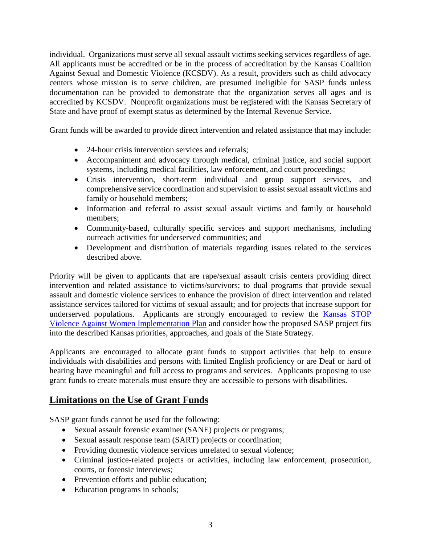individual. Organizations must serve all sexual assault victims seeking services regardless of age. All applicants must be accredited or be in the process of accreditation by the Kansas Coalition Against Sexual and Domestic Violence (KCSDV). As a result, providers such as child advocacy centers whose mission is to serve children, are presumed ineligible for SASP funds unless documentation can be provided to demonstrate that the organization serves all ages and is accredited by KCSDV. Nonprofit organizations must be registered with the Kansas Secretary of State and have proof of exempt status as determined by the Internal Revenue Service.

Grant funds will be awarded to provide direct intervention and related assistance that may include:

- 24-hour crisis intervention services and referrals:
- Accompaniment and advocacy through medical, criminal justice, and social support systems, including medical facilities, law enforcement, and court proceedings;
- Crisis intervention, short-term individual and group support services, and comprehensive service coordination and supervision to assist sexual assault victims and family or household members;
- Information and referral to assist sexual assault victims and family or household members;
- Community-based, culturally specific services and support mechanisms, including outreach activities for underserved communities; and
- Development and distribution of materials regarding issues related to the services described above.

Priority will be given to applicants that are rape/sexual assault crisis centers providing direct intervention and related assistance to victims/survivors; to dual programs that provide sexual assault and domestic violence services to enhance the provision of direct intervention and related assistance services tailored for victims of sexual assault; and for projects that increase support for underserved populations. Applicants are strongly encouraged to review the [Kansas STOP](https://www.grants.ks.gov/docs/default-source/Grant-Reports/final-ffy-2017-2020-stop-vawa-implementation-plan.pdf?sfvrsn=ab9a551a_2)  [Violence Against Women Implementation Plan](https://www.grants.ks.gov/docs/default-source/Grant-Reports/final-ffy-2017-2020-stop-vawa-implementation-plan.pdf?sfvrsn=ab9a551a_2) and consider how the proposed SASP project fits into the described Kansas priorities, approaches, and goals of the State Strategy.

Applicants are encouraged to allocate grant funds to support activities that help to ensure individuals with disabilities and persons with limited English proficiency or are Deaf or hard of hearing have meaningful and full access to programs and services. Applicants proposing to use grant funds to create materials must ensure they are accessible to persons with disabilities.

## **Limitations on the Use of Grant Funds**

SASP grant funds cannot be used for the following:

- Sexual assault forensic examiner (SANE) projects or programs;
- Sexual assault response team (SART) projects or coordination;
- Providing domestic violence services unrelated to sexual violence;
- Criminal justice-related projects or activities, including law enforcement, prosecution, courts, or forensic interviews;
- Prevention efforts and public education;
- Education programs in schools;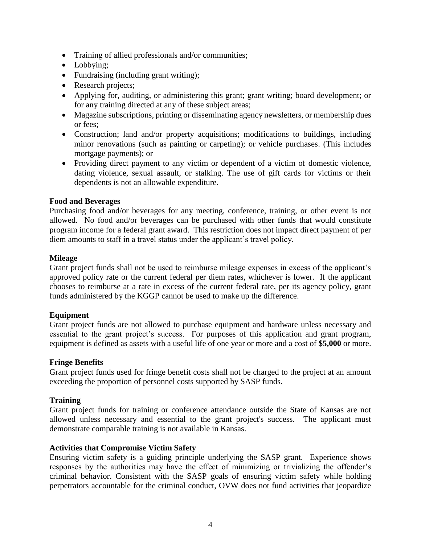- Training of allied professionals and/or communities;
- Lobbying;
- Fundraising (including grant writing);
- Research projects;
- Applying for, auditing, or administering this grant; grant writing; board development; or for any training directed at any of these subject areas;
- Magazine subscriptions, printing or disseminating agency newsletters, or membership dues or fees;
- Construction; land and/or property acquisitions; modifications to buildings, including minor renovations (such as painting or carpeting); or vehicle purchases. (This includes mortgage payments); or
- Providing direct payment to any victim or dependent of a victim of domestic violence, dating violence, sexual assault, or stalking. The use of gift cards for victims or their dependents is not an allowable expenditure.

#### **Food and Beverages**

Purchasing food and/or beverages for any meeting, conference, training, or other event is not allowed. No food and/or beverages can be purchased with other funds that would constitute program income for a federal grant award. This restriction does not impact direct payment of per diem amounts to staff in a travel status under the applicant's travel policy.

#### **Mileage**

Grant project funds shall not be used to reimburse mileage expenses in excess of the applicant's approved policy rate or the current federal per diem rates, whichever is lower. If the applicant chooses to reimburse at a rate in excess of the current federal rate, per its agency policy, grant funds administered by the KGGP cannot be used to make up the difference.

#### **Equipment**

Grant project funds are not allowed to purchase equipment and hardware unless necessary and essential to the grant project's success. For purposes of this application and grant program, equipment is defined as assets with a useful life of one year or more and a cost of **\$5,000** or more.

#### **Fringe Benefits**

Grant project funds used for fringe benefit costs shall not be charged to the project at an amount exceeding the proportion of personnel costs supported by SASP funds.

#### **Training**

Grant project funds for training or conference attendance outside the State of Kansas are not allowed unless necessary and essential to the grant project's success. The applicant must demonstrate comparable training is not available in Kansas.

#### **Activities that Compromise Victim Safety**

Ensuring victim safety is a guiding principle underlying the SASP grant. Experience shows responses by the authorities may have the effect of minimizing or trivializing the offender's criminal behavior. Consistent with the SASP goals of ensuring victim safety while holding perpetrators accountable for the criminal conduct, OVW does not fund activities that jeopardize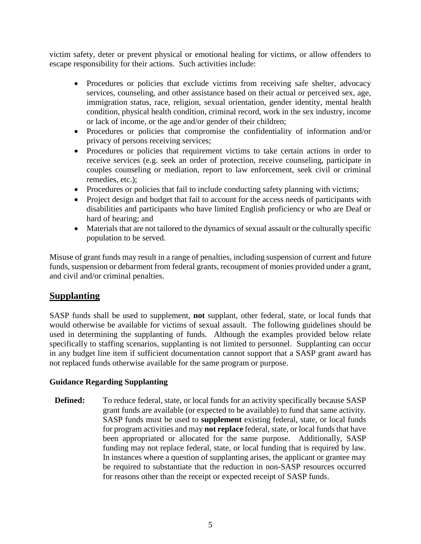victim safety, deter or prevent physical or emotional healing for victims, or allow offenders to escape responsibility for their actions. Such activities include:

- Procedures or policies that exclude victims from receiving safe shelter, advocacy services, counseling, and other assistance based on their actual or perceived sex, age, immigration status, race, religion, sexual orientation, gender identity, mental health condition, physical health condition, criminal record, work in the sex industry, income or lack of income, or the age and/or gender of their children;
- Procedures or policies that compromise the confidentiality of information and/or privacy of persons receiving services;
- Procedures or policies that requirement victims to take certain actions in order to receive services (e.g. seek an order of protection, receive counseling, participate in couples counseling or mediation, report to law enforcement, seek civil or criminal remedies, etc.);
- Procedures or policies that fail to include conducting safety planning with victims;
- Project design and budget that fail to account for the access needs of participants with disabilities and participants who have limited English proficiency or who are Deaf or hard of hearing; and
- Materials that are not tailored to the dynamics of sexual assault or the culturally specific population to be served.

Misuse of grant funds may result in a range of penalties, including suspension of current and future funds, suspension or debarment from federal grants, recoupment of monies provided under a grant, and civil and/or criminal penalties.

### **Supplanting**

SASP funds shall be used to supplement, **not** supplant, other federal, state, or local funds that would otherwise be available for victims of sexual assault. The following guidelines should be used in determining the supplanting of funds. Although the examples provided below relate specifically to staffing scenarios, supplanting is not limited to personnel. Supplanting can occur in any budget line item if sufficient documentation cannot support that a SASP grant award has not replaced funds otherwise available for the same program or purpose.

#### **Guidance Regarding Supplanting**

**Defined:** To reduce federal, state, or local funds for an activity specifically because SASP grant funds are available (or expected to be available) to fund that same activity. SASP funds must be used to **supplement** existing federal, state, or local funds for program activities and may **not replace** federal, state, or local funds that have been appropriated or allocated for the same purpose. Additionally, SASP funding may not replace federal, state, or local funding that is required by law. In instances where a question of supplanting arises, the applicant or grantee may be required to substantiate that the reduction in non-SASP resources occurred for reasons other than the receipt or expected receipt of SASP funds.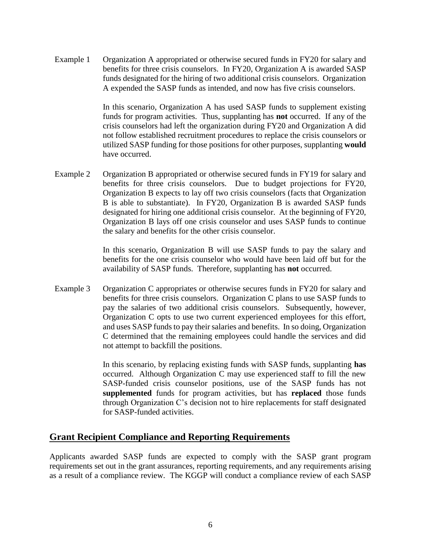Example 1 Organization A appropriated or otherwise secured funds in FY20 for salary and benefits for three crisis counselors. In FY20, Organization A is awarded SASP funds designated for the hiring of two additional crisis counselors. Organization A expended the SASP funds as intended, and now has five crisis counselors.

> In this scenario, Organization A has used SASP funds to supplement existing funds for program activities. Thus, supplanting has **not** occurred. If any of the crisis counselors had left the organization during FY20 and Organization A did not follow established recruitment procedures to replace the crisis counselors or utilized SASP funding for those positions for other purposes, supplanting **would** have occurred.

Example 2 Organization B appropriated or otherwise secured funds in FY19 for salary and benefits for three crisis counselors. Due to budget projections for FY20, Organization B expects to lay off two crisis counselors (facts that Organization B is able to substantiate). In FY20, Organization B is awarded SASP funds designated for hiring one additional crisis counselor. At the beginning of FY20, Organization B lays off one crisis counselor and uses SASP funds to continue the salary and benefits for the other crisis counselor.

> In this scenario, Organization B will use SASP funds to pay the salary and benefits for the one crisis counselor who would have been laid off but for the availability of SASP funds. Therefore, supplanting has **not** occurred.

Example 3 Organization C appropriates or otherwise secures funds in FY20 for salary and benefits for three crisis counselors. Organization C plans to use SASP funds to pay the salaries of two additional crisis counselors. Subsequently, however, Organization C opts to use two current experienced employees for this effort, and uses SASP funds to pay their salaries and benefits. In so doing, Organization C determined that the remaining employees could handle the services and did not attempt to backfill the positions.

> In this scenario, by replacing existing funds with SASP funds, supplanting **has** occurred. Although Organization C may use experienced staff to fill the new SASP-funded crisis counselor positions, use of the SASP funds has not **supplemented** funds for program activities, but has **replaced** those funds through Organization C's decision not to hire replacements for staff designated for SASP-funded activities.

#### **Grant Recipient Compliance and Reporting Requirements**

Applicants awarded SASP funds are expected to comply with the SASP grant program requirements set out in the grant assurances, reporting requirements, and any requirements arising as a result of a compliance review. The KGGP will conduct a compliance review of each SASP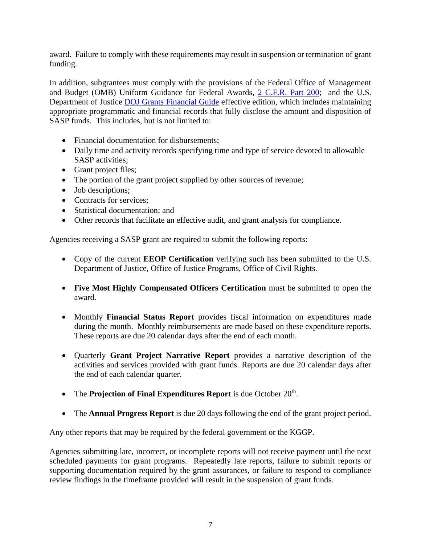award. Failure to comply with these requirements may result in suspension or termination of grant funding.

In addition, subgrantees must comply with the provisions of the Federal Office of Management and Budget (OMB) Uniform Guidance for Federal Awards, 2 C.F.R. [Part 200;](http://www.ecfr.gov/cgi-bin/text-idx?SID=2c6d1c9f8de1f9619110b4599d84a234&mc=true&node=pt2.1.200&rgn=div5#_top) and the U.S. Department of Justice **DOJ** Grants Financial Guide effective edition, which includes maintaining appropriate programmatic and financial records that fully disclose the amount and disposition of SASP funds. This includes, but is not limited to:

- Financial documentation for disbursements;
- Daily time and activity records specifying time and type of service devoted to allowable SASP activities;
- Grant project files;
- The portion of the grant project supplied by other sources of revenue;
- Job descriptions;
- Contracts for services;
- Statistical documentation; and
- Other records that facilitate an effective audit, and grant analysis for compliance.

Agencies receiving a SASP grant are required to submit the following reports:

- Copy of the current **EEOP Certification** verifying such has been submitted to the U.S. Department of Justice, Office of Justice Programs, Office of Civil Rights.
- **Five Most Highly Compensated Officers Certification** must be submitted to open the award.
- Monthly **Financial Status Report** provides fiscal information on expenditures made during the month. Monthly reimbursements are made based on these expenditure reports. These reports are due 20 calendar days after the end of each month.
- Quarterly **Grant Project Narrative Report** provides a narrative description of the activities and services provided with grant funds. Reports are due 20 calendar days after the end of each calendar quarter.
- The **Projection of Final Expenditures Report** is due October  $20<sup>th</sup>$ .
- The **Annual Progress Report** is due 20 days following the end of the grant project period.

Any other reports that may be required by the federal government or the KGGP.

Agencies submitting late, incorrect, or incomplete reports will not receive payment until the next scheduled payments for grant programs. Repeatedly late reports, failure to submit reports or supporting documentation required by the grant assurances, or failure to respond to compliance review findings in the timeframe provided will result in the suspension of grant funds.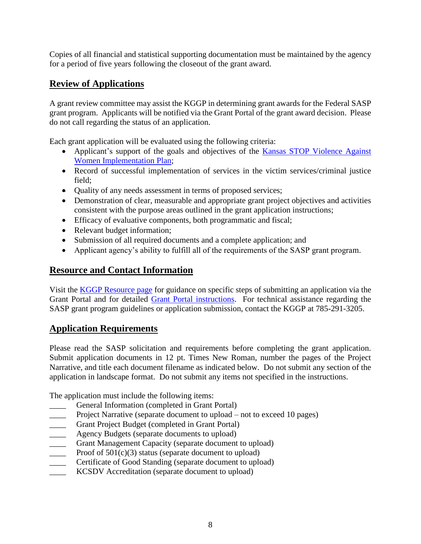Copies of all financial and statistical supporting documentation must be maintained by the agency for a period of five years following the closeout of the grant award.

## **Review of Applications**

A grant review committee may assist the KGGP in determining grant awards for the Federal SASP grant program. Applicants will be notified via the Grant Portal of the grant award decision. Please do not call regarding the status of an application.

Each grant application will be evaluated using the following criteria:

- Applicant's support of the goals and objectives of the Kansas STOP Violence Against [Women Implementation Plan;](http://www.grants.ks.gov/docs/default-source/Grant-Reports/final-ffy-2017-2020-stop-vawa-implementation-plan.pdf?sfvrsn=2)
- Record of successful implementation of services in the victim services/criminal justice field;
- Quality of any needs assessment in terms of proposed services;
- Demonstration of clear, measurable and appropriate grant project objectives and activities consistent with the purpose areas outlined in the grant application instructions;
- Efficacy of evaluative components, both programmatic and fiscal;
- Relevant budget information;
- Submission of all required documents and a complete application; and
- Applicant agency's ability to fulfill all of the requirements of the SASP grant program.

## **Resource and Contact Information**

Visit the [KGGP Resource page](http://www.grants.ks.gov/resources/getting-started) for guidance on specific steps of submitting an application via the Grant Portal and for detailed [Grant Portal instructions.](http://grants.ks.gov/docs/default-source/how-to-guides/application-portal-instructions.pdf?sfvrsn=4) For technical assistance regarding the SASP grant program guidelines or application submission, contact the KGGP at 785-291-3205.

## **Application Requirements**

Please read the SASP solicitation and requirements before completing the grant application. Submit application documents in 12 pt. Times New Roman, number the pages of the Project Narrative, and title each document filename as indicated below. Do not submit any section of the application in landscape format. Do not submit any items not specified in the instructions.

The application must include the following items:

- General Information (completed in Grant Portal)
- Project Narrative (separate document to upload not to exceed 10 pages)
- Grant Project Budget (completed in Grant Portal)
- **EXECUTE:** Agency Budgets (separate documents to upload)
- Grant Management Capacity (separate document to upload)
- $\frac{1}{2}$  Proof of 501(c)(3) status (separate document to upload)
- Certificate of Good Standing (separate document to upload)
- KCSDV Accreditation (separate document to upload)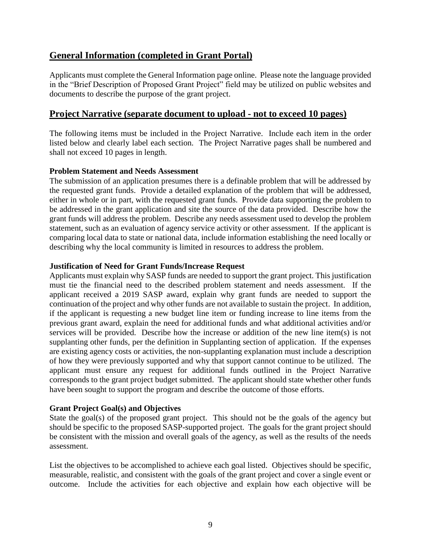## **General Information (completed in Grant Portal)**

Applicants must complete the General Information page online. Please note the language provided in the "Brief Description of Proposed Grant Project" field may be utilized on public websites and documents to describe the purpose of the grant project.

### **Project Narrative (separate document to upload - not to exceed 10 pages)**

The following items must be included in the Project Narrative. Include each item in the order listed below and clearly label each section. The Project Narrative pages shall be numbered and shall not exceed 10 pages in length.

#### **Problem Statement and Needs Assessment**

The submission of an application presumes there is a definable problem that will be addressed by the requested grant funds. Provide a detailed explanation of the problem that will be addressed, either in whole or in part, with the requested grant funds. Provide data supporting the problem to be addressed in the grant application and site the source of the data provided. Describe how the grant funds will address the problem. Describe any needs assessment used to develop the problem statement, such as an evaluation of agency service activity or other assessment. If the applicant is comparing local data to state or national data, include information establishing the need locally or describing why the local community is limited in resources to address the problem.

#### **Justification of Need for Grant Funds/Increase Request**

Applicants must explain why SASP funds are needed to support the grant project. This justification must tie the financial need to the described problem statement and needs assessment. If the applicant received a 2019 SASP award, explain why grant funds are needed to support the continuation of the project and why other funds are not available to sustain the project. In addition, if the applicant is requesting a new budget line item or funding increase to line items from the previous grant award, explain the need for additional funds and what additional activities and/or services will be provided. Describe how the increase or addition of the new line item(s) is not supplanting other funds, per the definition in Supplanting section of application. If the expenses are existing agency costs or activities, the non-supplanting explanation must include a description of how they were previously supported and why that support cannot continue to be utilized. The applicant must ensure any request for additional funds outlined in the Project Narrative corresponds to the grant project budget submitted. The applicant should state whether other funds have been sought to support the program and describe the outcome of those efforts.

#### **Grant Project Goal(s) and Objectives**

State the goal(s) of the proposed grant project. This should not be the goals of the agency but should be specific to the proposed SASP-supported project. The goals for the grant project should be consistent with the mission and overall goals of the agency, as well as the results of the needs assessment.

List the objectives to be accomplished to achieve each goal listed. Objectives should be specific, measurable, realistic, and consistent with the goals of the grant project and cover a single event or outcome. Include the activities for each objective and explain how each objective will be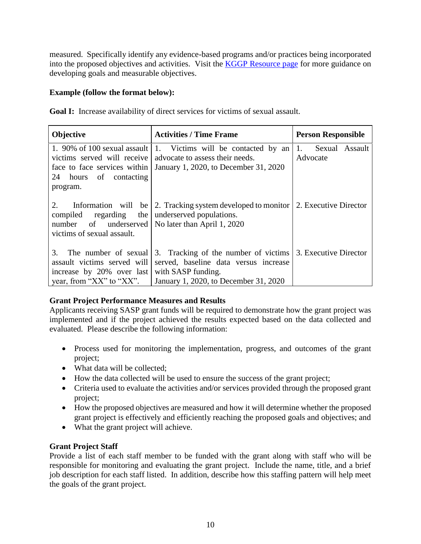measured. Specifically identify any evidence-based programs and/or practices being incorporated into the proposed objectives and activities. Visit the [KGGP Resource page](http://www.grants.ks.gov/resources/getting-started) for more guidance on developing goals and measurable objectives.

#### **Example (follow the format below):**

**Goal I:** Increase availability of direct services for victims of sexual assault.

| <b>Objective</b>                                                                                                   | <b>Activities / Time Frame</b>                                                                                                                | <b>Person Responsible</b>        |
|--------------------------------------------------------------------------------------------------------------------|-----------------------------------------------------------------------------------------------------------------------------------------------|----------------------------------|
| victims served will receive<br>face to face services within<br>24 hours of contacting<br>program.                  | 1. 90% of 100 sexual assault   1. Victims will be contacted by an<br>advocate to assess their needs.<br>January 1, 2020, to December 31, 2020 | 1.<br>Sexual Assault<br>Advocate |
| 2.<br>regarding<br>compiled<br>number of underserved   No later than April 1, 2020<br>victims of sexual assault.   | Information will be $\vert$ 2. Tracking system developed to monitor $\vert$ 2. Executive Director<br>the   underserved populations.           |                                  |
| The number of sexual<br>3.<br>assault victims served will<br>increase by 20% over last<br>year, from "XX" to "XX". | 3. Tracking of the number of victims<br>served, baseline data versus increase<br>with SASP funding.<br>January 1, 2020, to December 31, 2020  | 3. Executive Director            |

#### **Grant Project Performance Measures and Results**

Applicants receiving SASP grant funds will be required to demonstrate how the grant project was implemented and if the project achieved the results expected based on the data collected and evaluated. Please describe the following information:

- Process used for monitoring the implementation, progress, and outcomes of the grant project;
- What data will be collected:
- How the data collected will be used to ensure the success of the grant project;
- Criteria used to evaluate the activities and/or services provided through the proposed grant project;
- How the proposed objectives are measured and how it will determine whether the proposed grant project is effectively and efficiently reaching the proposed goals and objectives; and
- What the grant project will achieve.

#### **Grant Project Staff**

Provide a list of each staff member to be funded with the grant along with staff who will be responsible for monitoring and evaluating the grant project. Include the name, title, and a brief job description for each staff listed. In addition, describe how this staffing pattern will help meet the goals of the grant project.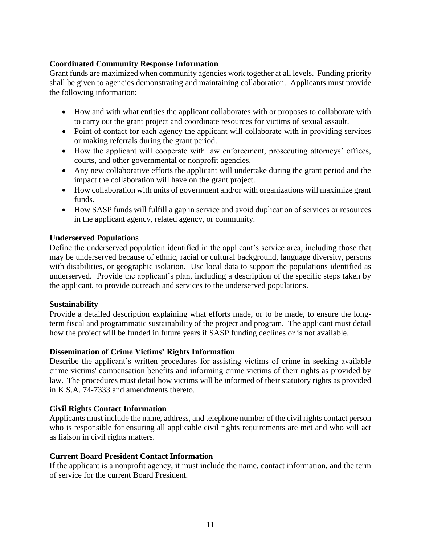#### **Coordinated Community Response Information**

Grant funds are maximized when community agencies work together at all levels. Funding priority shall be given to agencies demonstrating and maintaining collaboration. Applicants must provide the following information:

- How and with what entities the applicant collaborates with or proposes to collaborate with to carry out the grant project and coordinate resources for victims of sexual assault.
- Point of contact for each agency the applicant will collaborate with in providing services or making referrals during the grant period.
- How the applicant will cooperate with law enforcement, prosecuting attorneys' offices, courts, and other governmental or nonprofit agencies.
- Any new collaborative efforts the applicant will undertake during the grant period and the impact the collaboration will have on the grant project.
- How collaboration with units of government and/or with organizations will maximize grant funds.
- How SASP funds will fulfill a gap in service and avoid duplication of services or resources in the applicant agency, related agency, or community.

#### **Underserved Populations**

Define the underserved population identified in the applicant's service area, including those that may be underserved because of ethnic, racial or cultural background, language diversity, persons with disabilities, or geographic isolation. Use local data to support the populations identified as underserved. Provide the applicant's plan, including a description of the specific steps taken by the applicant, to provide outreach and services to the underserved populations.

#### **Sustainability**

Provide a detailed description explaining what efforts made, or to be made, to ensure the longterm fiscal and programmatic sustainability of the project and program. The applicant must detail how the project will be funded in future years if SASP funding declines or is not available.

#### **Dissemination of Crime Victims' Rights Information**

Describe the applicant's written procedures for assisting victims of crime in seeking available crime victims' compensation benefits and informing crime victims of their rights as provided by law. The procedures must detail how victims will be informed of their statutory rights as provided in K.S.A. 74-7333 and amendments thereto.

#### **Civil Rights Contact Information**

Applicants must include the name, address, and telephone number of the civil rights contact person who is responsible for ensuring all applicable civil rights requirements are met and who will act as liaison in civil rights matters.

#### **Current Board President Contact Information**

If the applicant is a nonprofit agency, it must include the name, contact information, and the term of service for the current Board President.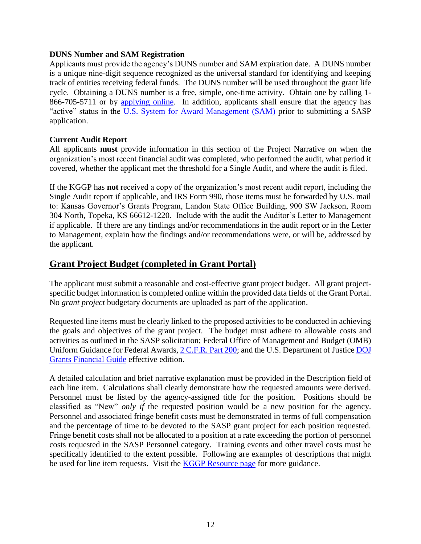#### **DUNS Number and SAM Registration**

Applicants must provide the agency's DUNS number and SAM expiration date. A DUNS number is a unique nine-digit sequence recognized as the universal standard for identifying and keeping track of entities receiving federal funds. The DUNS number will be used throughout the grant life cycle. Obtaining a DUNS number is a free, simple, one-time activity. Obtain one by calling 1- 866-705-5711 or by [applying online.](http://www.dnb.com/us/) In addition, applicants shall ensure that the agency has "active" status in the [U.S. System for Award Management \(SAM\)](http://www.sam.gov/) prior to submitting a SASP application.

#### **Current Audit Report**

All applicants **must** provide information in this section of the Project Narrative on when the organization's most recent financial audit was completed, who performed the audit, what period it covered, whether the applicant met the threshold for a Single Audit, and where the audit is filed.

If the KGGP has **not** received a copy of the organization's most recent audit report, including the Single Audit report if applicable, and IRS Form 990, those items must be forwarded by U.S. mail to: Kansas Governor's Grants Program, Landon State Office Building, 900 SW Jackson, Room 304 North, Topeka, KS 66612-1220. Include with the audit the Auditor's Letter to Management if applicable. If there are any findings and/or recommendations in the audit report or in the Letter to Management, explain how the findings and/or recommendations were, or will be, addressed by the applicant.

## **Grant Project Budget (completed in Grant Portal)**

The applicant must submit a reasonable and cost-effective grant project budget. All grant projectspecific budget information is completed online within the provided data fields of the Grant Portal. No *grant project* budgetary documents are uploaded as part of the application.

Requested line items must be clearly linked to the proposed activities to be conducted in achieving the goals and objectives of the grant project. The budget must adhere to allowable costs and activities as outlined in the SASP solicitation; Federal Office of Management and Budget (OMB) Uniform Guidance for Federal Awards, [2 C.F.R.](http://www.ecfr.gov/cgi-bin/text-idx?SID=2c6d1c9f8de1f9619110b4599d84a234&mc=true&node=pt2.1.200&rgn=div5#_top) Part 200; and the U.S. Department of Justice DOJ [Grants Financial Guide](http://ojp.gov/financialguide/DOJ/index.htm) effective edition.

A detailed calculation and brief narrative explanation must be provided in the Description field of each line item. Calculations shall clearly demonstrate how the requested amounts were derived. Personnel must be listed by the agency-assigned title for the position. Positions should be classified as "New" *only if* the requested position would be a new position for the agency. Personnel and associated fringe benefit costs must be demonstrated in terms of full compensation and the percentage of time to be devoted to the SASP grant project for each position requested. Fringe benefit costs shall not be allocated to a position at a rate exceeding the portion of personnel costs requested in the SASP Personnel category. Training events and other travel costs must be specifically identified to the extent possible. Following are examples of descriptions that might be used for line item requests. Visit the [KGGP Resource page](http://www.grants.ks.gov/resources/getting-started) for more guidance.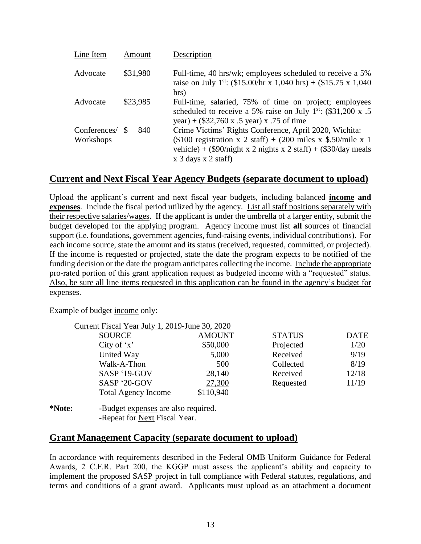| Line Item                 | Amount   | Description                                                                                                                                                                                                                           |
|---------------------------|----------|---------------------------------------------------------------------------------------------------------------------------------------------------------------------------------------------------------------------------------------|
| Advocate                  | \$31,980 | Full-time, 40 hrs/wk; employees scheduled to receive a 5%<br>raise on July 1 <sup>st</sup> : (\$15.00/hr x 1,040 hrs) + (\$15.75 x 1,040<br>hrs)                                                                                      |
| Advocate                  | \$23,985 | Full-time, salaried, 75% of time on project; employees<br>scheduled to receive a 5% raise on July $1^{st}$ : (\$31,200 x .5)<br>year) + $(\$32,760 \times .5 \text{ year}) \times .75 \text{ of time}$                                |
| Conferences/<br>Workshops | 840      | Crime Victims' Rights Conference, April 2020, Wichita:<br>(\$100 registration x 2 staff) + (200 miles x \$.50/mile x 1<br>vehicle) + $(\$90/night \times 2$ nights x 2 staff) + $(\$30/day \text{ meals})$<br>$x$ 3 days $x$ 2 staff) |

## **Current and Next Fiscal Year Agency Budgets (separate document to upload)**

Upload the applicant's current and next fiscal year budgets, including balanced **income and expenses**. Include the fiscal period utilized by the agency. List all staff positions separately with their respective salaries/wages. If the applicant is under the umbrella of a larger entity, submit the budget developed for the applying program. Agency income must list **all** sources of financial support (i.e. foundations, government agencies, fund-raising events, individual contributions). For each income source, state the amount and its status (received, requested, committed, or projected). If the income is requested or projected, state the date the program expects to be notified of the funding decision or the date the program anticipates collecting the income. Include the appropriate pro-rated portion of this grant application request as budgeted income with a "requested" status. Also, be sure all line items requested in this application can be found in the agency's budget for expenses.

Example of budget income only:

| Current Fiscal Year July 1, 2019-June 30, 2020 |                                        |               |               |             |
|------------------------------------------------|----------------------------------------|---------------|---------------|-------------|
| <b>SOURCE</b>                                  |                                        | <b>AMOUNT</b> | <b>STATUS</b> | <b>DATE</b> |
| City of $x'$                                   |                                        | \$50,000      | Projected     | 1/20        |
| United Way                                     |                                        | 5,000         | Received      | 9/19        |
| Walk-A-Thon                                    |                                        | 500           | Collected     | 8/19        |
| SASP '19-GOV                                   |                                        | 28,140        | Received      | 12/18       |
| SASP '20-GOV                                   |                                        | 27,300        | Requested     | 11/19       |
|                                                | <b>Total Agency Income</b>             | \$110,940     |               |             |
| $\blacksquare$                                 | $\mathbf{r}$ , the set of $\mathbf{r}$ |               |               |             |

**<sup>\*</sup>Note:** -Budget expenses are also required. -Repeat for Next Fiscal Year.

### **Grant Management Capacity (separate document to upload)**

In accordance with requirements described in the Federal OMB Uniform Guidance for Federal Awards, 2 C.F.R. Part 200, the KGGP must assess the applicant's ability and capacity to implement the proposed SASP project in full compliance with Federal statutes, regulations, and terms and conditions of a grant award. Applicants must upload as an attachment a document